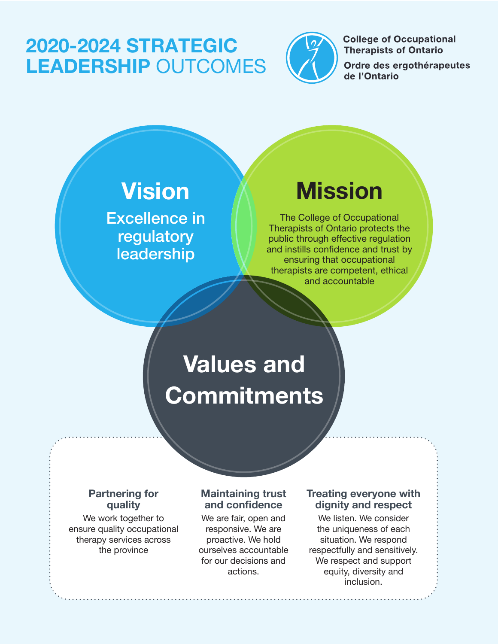### 2020-2024 STRATEGIC LEADERSHIP OUTCOMES



**College of Occupational Therapists of Ontario** 

Ordre des ergothérapeutes de l'Ontario

## Vision

Excellence in regulatory leadership

### Mission

The College of Occupational Therapists of Ontario protects the public through effective regulation and instills confidence and trust by ensuring that occupational therapists are competent, ethical and accountable

# Values and Commitments

**Partnering for quality**

We work together to ensure quality occupational therapy services across the province

### **Maintaining trust and confidence**

We are fair, open and responsive. We are proactive. We hold ourselves accountable for our decisions and actions.

### **Treating everyone with dignity and respect**

We listen. We consider the uniqueness of each situation. We respond respectfully and sensitively. We respect and support equity, diversity and inclusion.